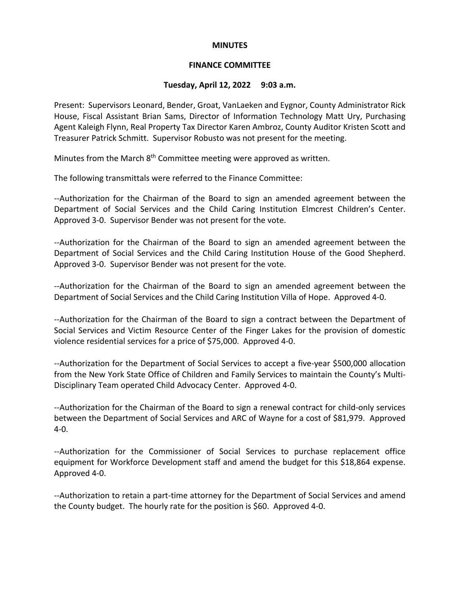#### **MINUTES**

### **FINANCE COMMITTEE**

# **Tuesday, April 12, 2022 9:03 a.m.**

Present: Supervisors Leonard, Bender, Groat, VanLaeken and Eygnor, County Administrator Rick House, Fiscal Assistant Brian Sams, Director of Information Technology Matt Ury, Purchasing Agent Kaleigh Flynn, Real Property Tax Director Karen Ambroz, County Auditor Kristen Scott and Treasurer Patrick Schmitt. Supervisor Robusto was not present for the meeting.

Minutes from the March  $8<sup>th</sup>$  Committee meeting were approved as written.

The following transmittals were referred to the Finance Committee:

--Authorization for the Chairman of the Board to sign an amended agreement between the Department of Social Services and the Child Caring Institution Elmcrest Children's Center. Approved 3-0. Supervisor Bender was not present for the vote.

--Authorization for the Chairman of the Board to sign an amended agreement between the Department of Social Services and the Child Caring Institution House of the Good Shepherd. Approved 3-0. Supervisor Bender was not present for the vote.

--Authorization for the Chairman of the Board to sign an amended agreement between the Department of Social Services and the Child Caring Institution Villa of Hope. Approved 4-0.

--Authorization for the Chairman of the Board to sign a contract between the Department of Social Services and Victim Resource Center of the Finger Lakes for the provision of domestic violence residential services for a price of \$75,000. Approved 4-0.

--Authorization for the Department of Social Services to accept a five-year \$500,000 allocation from the New York State Office of Children and Family Services to maintain the County's Multi-Disciplinary Team operated Child Advocacy Center. Approved 4-0.

--Authorization for the Chairman of the Board to sign a renewal contract for child-only services between the Department of Social Services and ARC of Wayne for a cost of \$81,979. Approved 4-0.

--Authorization for the Commissioner of Social Services to purchase replacement office equipment for Workforce Development staff and amend the budget for this \$18,864 expense. Approved 4-0.

--Authorization to retain a part-time attorney for the Department of Social Services and amend the County budget. The hourly rate for the position is \$60. Approved 4-0.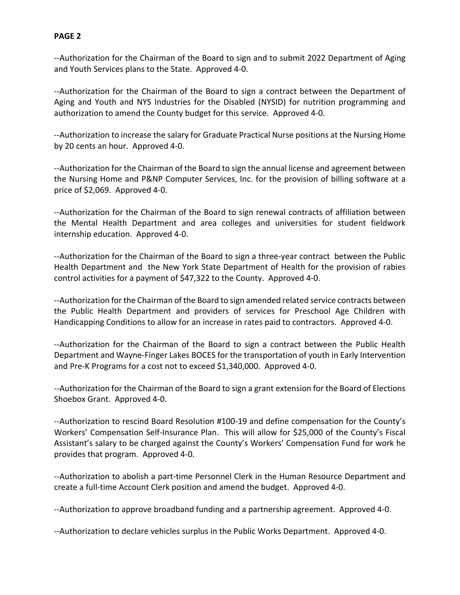--Authorization for the Chairman of the Board to sign and to submit 2022 Department of Aging and Youth Services plans to the State. Approved 4-0.

--Authorization for the Chairman of the Board to sign a contract between the Department of Aging and Youth and NYS Industries for the Disabled (NYSID) for nutrition programming and authorization to amend the County budget for this service. Approved 4-0.

--Authorization to increase the salary for Graduate Practical Nurse positions at the Nursing Home by 20 cents an hour. Approved 4-0.

--Authorization for the Chairman of the Board to sign the annual license and agreement between the Nursing Home and P&NP Computer Services, Inc. for the provision of billing software at a price of \$2,069. Approved 4-0.

--Authorization for the Chairman of the Board to sign renewal contracts of affiliation between the Mental Health Department and area colleges and universities for student fieldwork internship education. Approved 4-0.

--Authorization for the Chairman of the Board to sign a three-year contract between the Public Health Department and the New York State Department of Health for the provision of rabies control activities for a payment of \$47,322 to the County. Approved 4-0.

--Authorization for the Chairman of the Board to sign amended related service contracts between the Public Health Department and providers of services for Preschool Age Children with Handicapping Conditions to allow for an increase in rates paid to contractors. Approved 4-0.

--Authorization for the Chairman of the Board to sign a contract between the Public Health Department and Wayne-Finger Lakes BOCES for the transportation of youth in Early Intervention and Pre-K Programs for a cost not to exceed \$1,340,000. Approved 4-0.

--Authorization for the Chairman of the Board to sign a grant extension for the Board of Elections Shoebox Grant. Approved 4-0.

--Authorization to rescind Board Resolution #100-19 and define compensation for the County's Workers' Compensation Self-Insurance Plan. This will allow for \$25,000 of the County's Fiscal Assistant's salary to be charged against the County's Workers' Compensation Fund for work he provides that program. Approved 4-0.

--Authorization to abolish a part-time Personnel Clerk in the Human Resource Department and create a full-time Account Clerk position and amend the budget. Approved 4-0.

--Authorization to approve broadband funding and a partnership agreement. Approved 4-0.

--Authorization to declare vehicles surplus in the Public Works Department. Approved 4-0.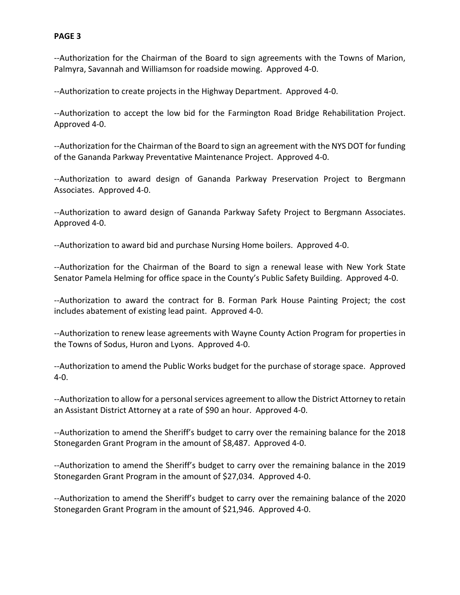--Authorization for the Chairman of the Board to sign agreements with the Towns of Marion, Palmyra, Savannah and Williamson for roadside mowing. Approved 4-0.

--Authorization to create projects in the Highway Department. Approved 4-0.

--Authorization to accept the low bid for the Farmington Road Bridge Rehabilitation Project. Approved 4-0.

--Authorization for the Chairman of the Board to sign an agreement with the NYS DOT for funding of the Gananda Parkway Preventative Maintenance Project. Approved 4-0.

--Authorization to award design of Gananda Parkway Preservation Project to Bergmann Associates. Approved 4-0.

--Authorization to award design of Gananda Parkway Safety Project to Bergmann Associates. Approved 4-0.

--Authorization to award bid and purchase Nursing Home boilers. Approved 4-0.

--Authorization for the Chairman of the Board to sign a renewal lease with New York State Senator Pamela Helming for office space in the County's Public Safety Building. Approved 4-0.

--Authorization to award the contract for B. Forman Park House Painting Project; the cost includes abatement of existing lead paint. Approved 4-0.

--Authorization to renew lease agreements with Wayne County Action Program for properties in the Towns of Sodus, Huron and Lyons. Approved 4-0.

--Authorization to amend the Public Works budget for the purchase of storage space. Approved 4-0.

--Authorization to allow for a personal services agreement to allow the District Attorney to retain an Assistant District Attorney at a rate of \$90 an hour. Approved 4-0.

--Authorization to amend the Sheriff's budget to carry over the remaining balance for the 2018 Stonegarden Grant Program in the amount of \$8,487. Approved 4-0.

--Authorization to amend the Sheriff's budget to carry over the remaining balance in the 2019 Stonegarden Grant Program in the amount of \$27,034. Approved 4-0.

--Authorization to amend the Sheriff's budget to carry over the remaining balance of the 2020 Stonegarden Grant Program in the amount of \$21,946. Approved 4-0.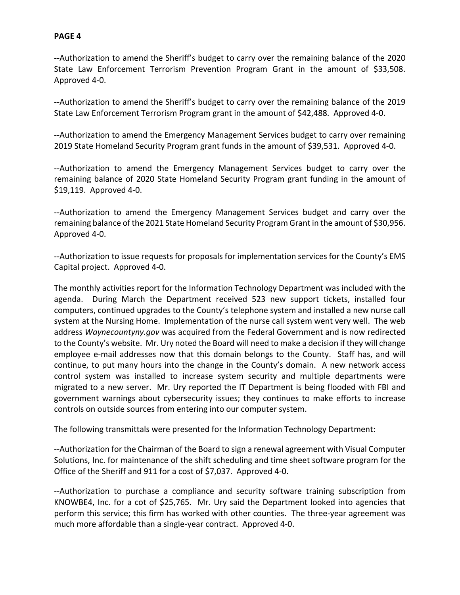--Authorization to amend the Sheriff's budget to carry over the remaining balance of the 2020 State Law Enforcement Terrorism Prevention Program Grant in the amount of \$33,508. Approved 4-0.

--Authorization to amend the Sheriff's budget to carry over the remaining balance of the 2019 State Law Enforcement Terrorism Program grant in the amount of \$42,488. Approved 4-0.

--Authorization to amend the Emergency Management Services budget to carry over remaining 2019 State Homeland Security Program grant funds in the amount of \$39,531. Approved 4-0.

--Authorization to amend the Emergency Management Services budget to carry over the remaining balance of 2020 State Homeland Security Program grant funding in the amount of \$19,119. Approved 4-0.

--Authorization to amend the Emergency Management Services budget and carry over the remaining balance of the 2021 State Homeland Security Program Grant in the amount of \$30,956. Approved 4-0.

--Authorization to issue requests for proposals for implementation services for the County's EMS Capital project. Approved 4-0.

The monthly activities report for the Information Technology Department was included with the agenda. During March the Department received 523 new support tickets, installed four computers, continued upgrades to the County's telephone system and installed a new nurse call system at the Nursing Home. Implementation of the nurse call system went very well. The web address *Waynecountyny.gov* was acquired from the Federal Government and is now redirected to the County's website. Mr. Ury noted the Board will need to make a decision if they will change employee e-mail addresses now that this domain belongs to the County. Staff has, and will continue, to put many hours into the change in the County's domain. A new network access control system was installed to increase system security and multiple departments were migrated to a new server. Mr. Ury reported the IT Department is being flooded with FBI and government warnings about cybersecurity issues; they continues to make efforts to increase controls on outside sources from entering into our computer system.

The following transmittals were presented for the Information Technology Department:

--Authorization for the Chairman of the Board to sign a renewal agreement with Visual Computer Solutions, Inc. for maintenance of the shift scheduling and time sheet software program for the Office of the Sheriff and 911 for a cost of \$7,037. Approved 4-0.

--Authorization to purchase a compliance and security software training subscription from KNOWBE4, Inc. for a cot of \$25,765. Mr. Ury said the Department looked into agencies that perform this service; this firm has worked with other counties. The three-year agreement was much more affordable than a single-year contract. Approved 4-0.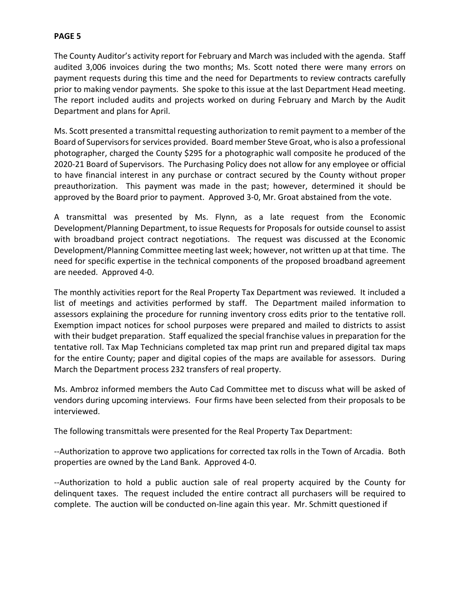The County Auditor's activity report for February and March was included with the agenda. Staff audited 3,006 invoices during the two months; Ms. Scott noted there were many errors on payment requests during this time and the need for Departments to review contracts carefully prior to making vendor payments. She spoke to this issue at the last Department Head meeting. The report included audits and projects worked on during February and March by the Audit Department and plans for April.

Ms. Scott presented a transmittal requesting authorization to remit payment to a member of the Board of Supervisors for services provided. Board member Steve Groat, who is also a professional photographer, charged the County \$295 for a photographic wall composite he produced of the 2020-21 Board of Supervisors. The Purchasing Policy does not allow for any employee or official to have financial interest in any purchase or contract secured by the County without proper preauthorization. This payment was made in the past; however, determined it should be approved by the Board prior to payment. Approved 3-0, Mr. Groat abstained from the vote.

A transmittal was presented by Ms. Flynn, as a late request from the Economic Development/Planning Department, to issue Requests for Proposals for outside counsel to assist with broadband project contract negotiations. The request was discussed at the Economic Development/Planning Committee meeting last week; however, not written up at that time. The need for specific expertise in the technical components of the proposed broadband agreement are needed. Approved 4-0.

The monthly activities report for the Real Property Tax Department was reviewed. It included a list of meetings and activities performed by staff. The Department mailed information to assessors explaining the procedure for running inventory cross edits prior to the tentative roll. Exemption impact notices for school purposes were prepared and mailed to districts to assist with their budget preparation. Staff equalized the special franchise values in preparation for the tentative roll. Tax Map Technicians completed tax map print run and prepared digital tax maps for the entire County; paper and digital copies of the maps are available for assessors. During March the Department process 232 transfers of real property.

Ms. Ambroz informed members the Auto Cad Committee met to discuss what will be asked of vendors during upcoming interviews. Four firms have been selected from their proposals to be interviewed.

The following transmittals were presented for the Real Property Tax Department:

--Authorization to approve two applications for corrected tax rolls in the Town of Arcadia. Both properties are owned by the Land Bank. Approved 4-0.

--Authorization to hold a public auction sale of real property acquired by the County for delinquent taxes. The request included the entire contract all purchasers will be required to complete. The auction will be conducted on-line again this year. Mr. Schmitt questioned if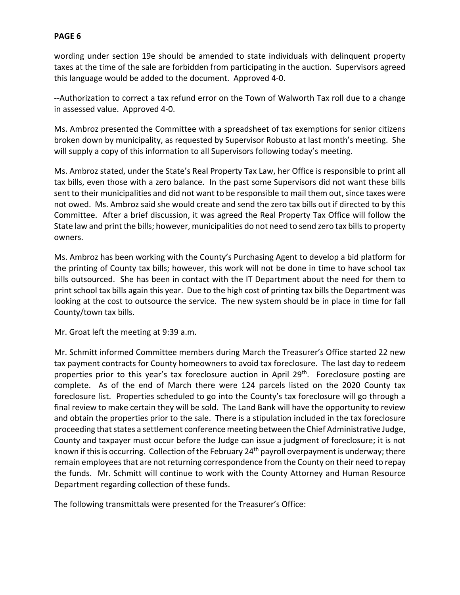wording under section 19e should be amended to state individuals with delinquent property taxes at the time of the sale are forbidden from participating in the auction. Supervisors agreed this language would be added to the document. Approved 4-0.

--Authorization to correct a tax refund error on the Town of Walworth Tax roll due to a change in assessed value. Approved 4-0.

Ms. Ambroz presented the Committee with a spreadsheet of tax exemptions for senior citizens broken down by municipality, as requested by Supervisor Robusto at last month's meeting. She will supply a copy of this information to all Supervisors following today's meeting.

Ms. Ambroz stated, under the State's Real Property Tax Law, her Office is responsible to print all tax bills, even those with a zero balance. In the past some Supervisors did not want these bills sent to their municipalities and did not want to be responsible to mail them out, since taxes were not owed. Ms. Ambroz said she would create and send the zero tax bills out if directed to by this Committee. After a brief discussion, it was agreed the Real Property Tax Office will follow the State law and print the bills; however, municipalities do not need to send zero tax bills to property owners.

Ms. Ambroz has been working with the County's Purchasing Agent to develop a bid platform for the printing of County tax bills; however, this work will not be done in time to have school tax bills outsourced. She has been in contact with the IT Department about the need for them to print school tax bills again this year. Due to the high cost of printing tax bills the Department was looking at the cost to outsource the service. The new system should be in place in time for fall County/town tax bills.

Mr. Groat left the meeting at 9:39 a.m.

Mr. Schmitt informed Committee members during March the Treasurer's Office started 22 new tax payment contracts for County homeowners to avoid tax foreclosure. The last day to redeem properties prior to this year's tax foreclosure auction in April 29<sup>th</sup>. Foreclosure posting are complete. As of the end of March there were 124 parcels listed on the 2020 County tax foreclosure list. Properties scheduled to go into the County's tax foreclosure will go through a final review to make certain they will be sold. The Land Bank will have the opportunity to review and obtain the properties prior to the sale. There is a stipulation included in the tax foreclosure proceeding that states a settlement conference meeting between the Chief Administrative Judge, County and taxpayer must occur before the Judge can issue a judgment of foreclosure; it is not known if this is occurring. Collection of the February 24th payroll overpayment is underway; there remain employees that are not returning correspondence from the County on their need to repay the funds. Mr. Schmitt will continue to work with the County Attorney and Human Resource Department regarding collection of these funds.

The following transmittals were presented for the Treasurer's Office: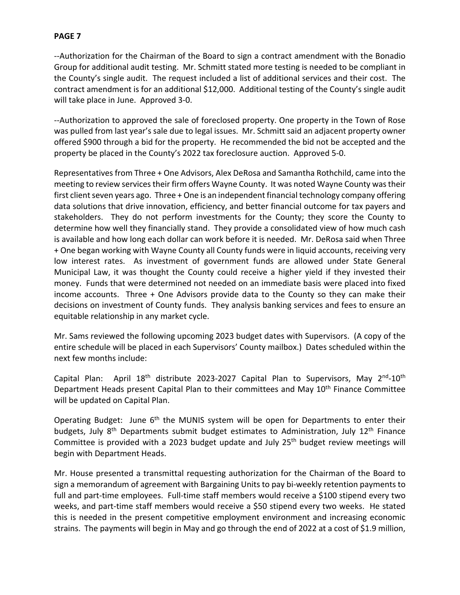--Authorization for the Chairman of the Board to sign a contract amendment with the Bonadio Group for additional audit testing. Mr. Schmitt stated more testing is needed to be compliant in the County's single audit. The request included a list of additional services and their cost. The contract amendment is for an additional \$12,000. Additional testing of the County's single audit will take place in June. Approved 3-0.

--Authorization to approved the sale of foreclosed property. One property in the Town of Rose was pulled from last year's sale due to legal issues. Mr. Schmitt said an adjacent property owner offered \$900 through a bid for the property. He recommended the bid not be accepted and the property be placed in the County's 2022 tax foreclosure auction. Approved 5-0.

Representatives from Three + One Advisors, Alex DeRosa and Samantha Rothchild, came into the meeting to review services their firm offers Wayne County. It was noted Wayne County was their first client seven years ago. Three + One is an independent financial technology company offering data solutions that drive innovation, efficiency, and better financial outcome for tax payers and stakeholders. They do not perform investments for the County; they score the County to determine how well they financially stand. They provide a consolidated view of how much cash is available and how long each dollar can work before it is needed. Mr. DeRosa said when Three + One began working with Wayne County all County funds were in liquid accounts, receiving very low interest rates. As investment of government funds are allowed under State General Municipal Law, it was thought the County could receive a higher yield if they invested their money. Funds that were determined not needed on an immediate basis were placed into fixed income accounts. Three + One Advisors provide data to the County so they can make their decisions on investment of County funds. They analysis banking services and fees to ensure an equitable relationship in any market cycle.

Mr. Sams reviewed the following upcoming 2023 budget dates with Supervisors. (A copy of the entire schedule will be placed in each Supervisors' County mailbox.) Dates scheduled within the next few months include:

Capital Plan: April  $18<sup>th</sup>$  distribute 2023-2027 Capital Plan to Supervisors, May  $2<sup>nd</sup>$ -10<sup>th</sup> Department Heads present Capital Plan to their committees and May 10<sup>th</sup> Finance Committee will be updated on Capital Plan.

Operating Budget: June 6<sup>th</sup> the MUNIS system will be open for Departments to enter their budgets, July 8<sup>th</sup> Departments submit budget estimates to Administration, July 12<sup>th</sup> Finance Committee is provided with a 2023 budget update and July 25<sup>th</sup> budget review meetings will begin with Department Heads.

Mr. House presented a transmittal requesting authorization for the Chairman of the Board to sign a memorandum of agreement with Bargaining Units to pay bi-weekly retention payments to full and part-time employees. Full-time staff members would receive a \$100 stipend every two weeks, and part-time staff members would receive a \$50 stipend every two weeks. He stated this is needed in the present competitive employment environment and increasing economic strains. The payments will begin in May and go through the end of 2022 at a cost of \$1.9 million,